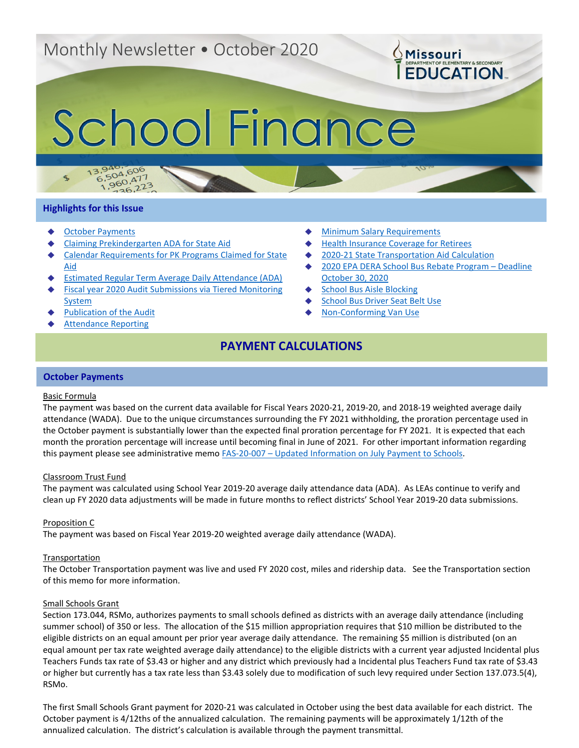## Monthly Newsletter • October 2020

# School Finance

#### **Highlights for this Issue**

 $\mathcal{F}$ 

 $13.94$ 

- **[October Payments](#page-0-0)**
- [Claiming Prekindergarten ADA](#page-1-0) for State Aid

 $^{50}_{26}$ , 223

3.940.606<br>6.504.606

 $5,504,600$ <br>1,960,477

- [Calendar Requirements for PK Programs](#page-1-1) Claimed for State [Aid](#page-1-1)
- **[Estimated Regular Term Average Daily Attendance \(ADA\)](#page-1-2)**
- Fiscal year 2020 Audit Submissions via Tiered Monitoring **[System](#page-2-0)**
- **Publication [of the Audit](#page-3-0)**
- **[Attendance Reporting](#page-3-1)**
- **[Minimum Salary](#page-3-2) Requirements**
- **[Health Insurance Coverage for Retirees](#page-3-3)**
- [2020-21 State Transportation Aid Calculation](#page-4-0)
- [2020 EPA DERA School Bus Rebate Program –](#page-4-1) Deadline [October 30, 2020](#page-4-1)

**OMissouri** 

DENRTMENT OF ELEMENTARY & SECONDARY

- **[School Bus Aisle](#page-4-2) Blocking**
- **[School Bus Driver Seat Belt Use](#page-4-3)**
- [Non-Conforming Van Use](#page-4-4)

## **PAYMENT CALCULATIONS**

#### <span id="page-0-0"></span>**October Payments**

#### Basic Formula

The payment was based on the current data available for Fiscal Years 2020-21, 2019-20, and 2018-19 weighted average daily attendance (WADA). Due to the unique circumstances surrounding the FY 2021 withholding, the proration percentage used in the October payment is substantially lower than the expected final proration percentage for FY 2021. It is expected that each month the proration percentage will increase until becoming final in June of 2021. For other important information regarding this payment please see administrative memo FAS-20-007 - Updated Information on July Payment to Schools.

#### Classroom Trust Fund

The payment was calculated using School Year 2019-20 average daily attendance data (ADA). As LEAs continue to verify and clean up FY 2020 data adjustments will be made in future months to reflect districts' School Year 2019-20 data submissions.

#### Proposition C

The payment was based on Fiscal Year 2019-20 weighted average daily attendance (WADA).

#### **Transportation**

The October Transportation payment was live and used FY 2020 cost, miles and ridership data. See the Transportation section of this memo for more information.

#### Small Schools Grant

Section 173.044, RSMo, authorizes payments to small schools defined as districts with an average daily attendance (including summer school) of 350 or less. The allocation of the \$15 million appropriation requires that \$10 million be distributed to the eligible districts on an equal amount per prior year average daily attendance. The remaining \$5 million is distributed (on an equal amount per tax rate weighted average daily attendance) to the eligible districts with a current year adjusted Incidental plus Teachers Funds tax rate of \$3.43 or higher and any district which previously had a Incidental plus Teachers Fund tax rate of \$3.43 or higher but currently has a tax rate less than \$3.43 solely due to modification of such levy required under Section 137.073.5(4), RSMo.

The first Small Schools Grant payment for 2020-21 was calculated in October using the best data available for each district. The October payment is 4/12ths of the annualized calculation. The remaining payments will be approximately 1/12th of the annualized calculation. The district's calculation is available through the payment transmittal.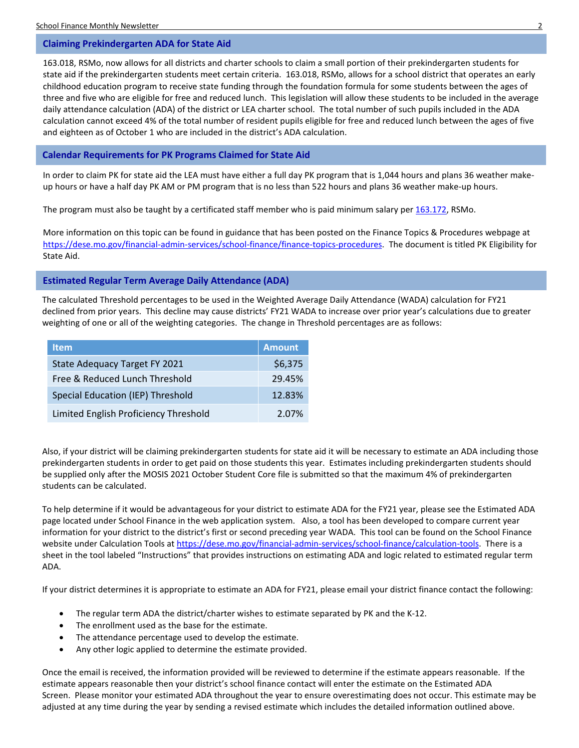#### <span id="page-1-0"></span>**Claiming Prekindergarten ADA for State Aid**

163.018, RSMo, now allows for all districts and charter schools to claim a small portion of their prekindergarten students for state aid if the prekindergarten students meet certain criteria. 163.018, RSMo, allows for a school district that operates an early childhood education program to receive state funding through the foundation formula for some students between the ages of three and five who are eligible for free and reduced lunch. This legislation will allow these students to be included in the average daily attendance calculation (ADA) of the district or LEA charter school. The total number of such pupils included in the ADA calculation cannot exceed 4% of the total number of resident pupils eligible for free and reduced lunch between the ages of five and eighteen as of October 1 who are included in the district's ADA calculation.

### <span id="page-1-1"></span>**Calendar Requirements for PK Programs Claimed for State Aid**

In order to claim PK for state aid the LEA must have either a full day PK program that is 1,044 hours and plans 36 weather makeup hours or have a half day PK AM or PM program that is no less than 522 hours and plans 36 weather make-up hours.

The program must also be taught by a certificated staff member who is paid minimum salary pe[r 163.172,](https://revisor.mo.gov/main/OneSection.aspx?section=163.172&bid=8162&hl=minimum+salary%25u2044) RSMo.

More information on this topic can be found in guidance that has been posted on the Finance Topics & Procedures webpage at [https://dese.mo.gov/financial-admin-services/school-finance/finance-topics-procedures.](https://dese.mo.gov/financial-admin-services/school-finance/finance-topics-procedures) The document is titled PK Eligibility for State Aid.

#### <span id="page-1-2"></span>**Estimated Regular Term Average Daily Attendance (ADA)**

The calculated Threshold percentages to be used in the Weighted Average Daily Attendance (WADA) calculation for FY21 declined from prior years. This decline may cause districts' FY21 WADA to increase over prior year's calculations due to greater weighting of one or all of the weighting categories. The change in Threshold percentages are as follows:

| <b>Item</b>                              | <b>Amount</b> |
|------------------------------------------|---------------|
| State Adequacy Target FY 2021            | \$6,375       |
| Free & Reduced Lunch Threshold           | 29.45%        |
| <b>Special Education (IEP) Threshold</b> | 12.83%        |
| Limited English Proficiency Threshold    | 2.07%         |

Also, if your district will be claiming prekindergarten students for state aid it will be necessary to estimate an ADA including those prekindergarten students in order to get paid on those students this year. Estimates including prekindergarten students should be supplied only after the MOSIS 2021 October Student Core file is submitted so that the maximum 4% of prekindergarten students can be calculated.

To help determine if it would be advantageous for your district to estimate ADA for the FY21 year, please see the Estimated ADA page located under School Finance in the web application system. Also, a tool has been developed to compare current year information for your district to the district's first or second preceding year WADA. This tool can be found on the School Finance website under Calculation Tools at [https://dese.mo.gov/financial-admin-services/school-finance/calculation-tools.](https://dese.mo.gov/financial-admin-services/school-finance/calculation-tools) There is a sheet in the tool labeled "Instructions" that provides instructions on estimating ADA and logic related to estimated regular term ADA.

If your district determines it is appropriate to estimate an ADA for FY21, please email your district finance contact the following:

- The regular term ADA the district/charter wishes to estimate separated by PK and the K-12.
- The enrollment used as the base for the estimate.
- The attendance percentage used to develop the estimate.
- Any other logic applied to determine the estimate provided.

Once the email is received, the information provided will be reviewed to determine if the estimate appears reasonable. If the estimate appears reasonable then your district's school finance contact will enter the estimate on the Estimated ADA Screen. Please monitor your estimated ADA throughout the year to ensure overestimating does not occur. This estimate may be adjusted at any time during the year by sending a revised estimate which includes the detailed information outlined above.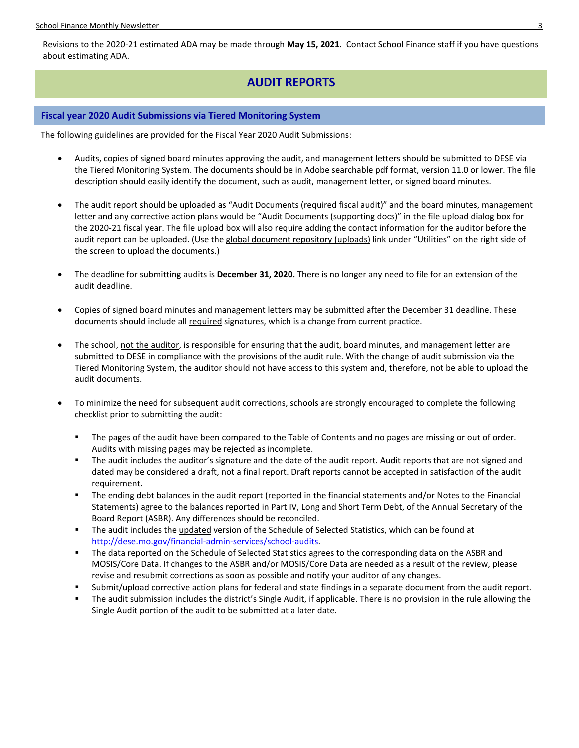School Finance Monthly Newsletter 3

Revisions to the 2020-21 estimated ADA may be made through **May 15, 2021**. Contact School Finance staff if you have questions about estimating ADA.

## **AUDIT REPORTS**

#### <span id="page-2-0"></span>**Fiscal year 2020 Audit Submissions via Tiered Monitoring System**

The following guidelines are provided for the Fiscal Year 2020 Audit Submissions:

- Audits, copies of signed board minutes approving the audit, and management letters should be submitted to DESE via the Tiered Monitoring System. The documents should be in Adobe searchable pdf format, version 11.0 or lower. The file description should easily identify the document, such as audit, management letter, or signed board minutes.
- The audit report should be uploaded as "Audit Documents (required fiscal audit)" and the board minutes, management letter and any corrective action plans would be "Audit Documents (supporting docs)" in the file upload dialog box for the 2020-21 fiscal year. The file upload box will also require adding the contact information for the auditor before the audit report can be uploaded. (Use the global document repository (uploads) link under "Utilities" on the right side of the screen to upload the documents.)
- The deadline for submitting audits is **December 31, 2020.** There is no longer any need to file for an extension of the audit deadline.
- Copies of signed board minutes and management letters may be submitted after the December 31 deadline. These documents should include all required signatures, which is a change from current practice.
- The school, not the auditor, is responsible for ensuring that the audit, board minutes, and management letter are submitted to DESE in compliance with the provisions of the audit rule. With the change of audit submission via the Tiered Monitoring System, the auditor should not have access to this system and, therefore, not be able to upload the audit documents.
- To minimize the need for subsequent audit corrections, schools are strongly encouraged to complete the following checklist prior to submitting the audit:
	- The pages of the audit have been compared to the Table of Contents and no pages are missing or out of order. Audits with missing pages may be rejected as incomplete.
	- **The audit includes the auditor's signature and the date of the audit report. Audit reports that are not signed and** dated may be considered a draft, not a final report. Draft reports cannot be accepted in satisfaction of the audit requirement.
	- The ending debt balances in the audit report (reported in the financial statements and/or Notes to the Financial Statements) agree to the balances reported in Part IV, Long and Short Term Debt, of the Annual Secretary of the Board Report (ASBR). Any differences should be reconciled.
	- The audit includes the updated version of the Schedule of Selected Statistics, which can be found at [http://dese.mo.gov/financial-admin-services/school-audits.](http://dese.mo.gov/financial-admin-services/school-audits)
	- **The data reported on the Schedule of Selected Statistics agrees to the corresponding data on the ASBR and** MOSIS/Core Data. If changes to the ASBR and/or MOSIS/Core Data are needed as a result of the review, please revise and resubmit corrections as soon as possible and notify your auditor of any changes.
	- Submit/upload corrective action plans for federal and state findings in a separate document from the audit report.
	- The audit submission includes the district's Single Audit, if applicable. There is no provision in the rule allowing the Single Audit portion of the audit to be submitted at a later date.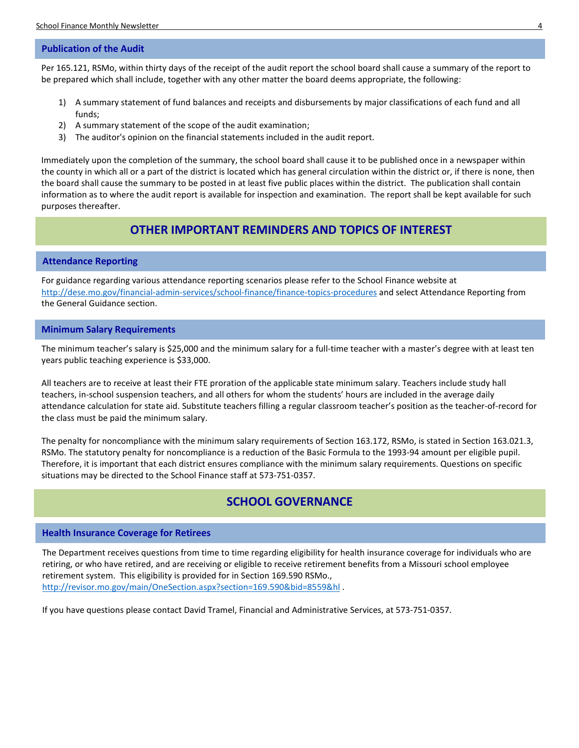#### <span id="page-3-0"></span>**Publication of the Audit**

Per 165.121, RSMo, within thirty days of the receipt of the audit report the school board shall cause a summary of the report to be prepared which shall include, together with any other matter the board deems appropriate, the following:

- 1) A summary statement of fund balances and receipts and disbursements by major classifications of each fund and all funds;
- 2) A summary statement of the scope of the audit examination;
- 3) The auditor's opinion on the financial statements included in the audit report.

Immediately upon the completion of the summary, the school board shall cause it to be published once in a newspaper within the county in which all or a part of the district is located which has general circulation within the district or, if there is none, then the board shall cause the summary to be posted in at least five public places within the district. The publication shall contain information as to where the audit report is available for inspection and examination. The report shall be kept available for such purposes thereafter.

## **OTHER IMPORTANT REMINDERS AND TOPICS OF INTEREST**

#### <span id="page-3-1"></span>**Attendance Reporting**

For guidance regarding various attendance reporting scenarios please refer to the School Finance website at <http://dese.mo.gov/financial-admin-services/school-finance/finance-topics-procedures> and select Attendance Reporting from the General Guidance section.

#### <span id="page-3-2"></span>**Minimum Salary Requirements**

The minimum teacher's salary is \$25,000 and the minimum salary for a full-time teacher with a master's degree with at least ten years public teaching experience is \$33,000.

All teachers are to receive at least their FTE proration of the applicable state minimum salary. Teachers include study hall teachers, in-school suspension teachers, and all others for whom the students' hours are included in the average daily attendance calculation for state aid. Substitute teachers filling a regular classroom teacher's position as the teacher-of-record for the class must be paid the minimum salary.

The penalty for noncompliance with the minimum salary requirements of Section 163.172, RSMo, is stated in Section 163.021.3, RSMo. The statutory penalty for noncompliance is a reduction of the Basic Formula to the 1993-94 amount per eligible pupil. Therefore, it is important that each district ensures compliance with the minimum salary requirements. Questions on specific situations may be directed to the School Finance staff at 573-751-0357.

## **SCHOOL GOVERNANCE**

#### <span id="page-3-3"></span>**Health Insurance Coverage for Retirees**

The Department receives questions from time to time regarding eligibility for health insurance coverage for individuals who are retiring, or who have retired, and are receiving or eligible to receive retirement benefits from a Missouri school employee retirement system. This eligibility is provided for in Section 169.590 RSMo., <http://revisor.mo.gov/main/OneSection.aspx?section=169.590&bid=8559&hl> .

If you have questions please contact David Tramel, Financial and Administrative Services, at 573-751-0357.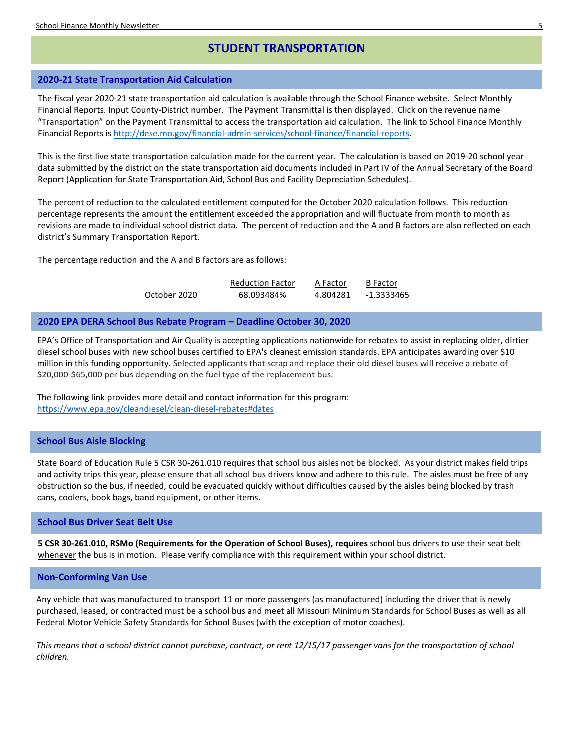## **STUDENT TRANSPORTATION**

#### <span id="page-4-0"></span>**2020-21 State Transportation Aid Calculation**

The fiscal year 2020-21 state transportation aid calculation is available through the School Finance website. Select Monthly Financial Reports. Input County-District number. The Payment Transmittal is then displayed. Click on the revenue name "Transportation" on the Payment Transmittal to access the transportation aid calculation. The link to School Finance Monthly Financial Reports is [http://dese.mo.gov/financial-admin-services/school-finance/financial-reports.](http://dese.mo.gov/financial-admin-services/school-finance/financial-reports) 

This is the first live state transportation calculation made for the current year. The calculation is based on 2019-20 school year data submitted by the district on the state transportation aid documents included in Part IV of the Annual Secretary of the Board Report (Application for State Transportation Aid, School Bus and Facility Depreciation Schedules).

The percent of reduction to the calculated entitlement computed for the October 2020 calculation follows. This reduction percentage represents the amount the entitlement exceeded the appropriation and will fluctuate from month to month as revisions are made to individual school district data. The percent of reduction and the A and B factors are also reflected on each district's Summary Transportation Report.

The percentage reduction and the A and B factors are as follows:

|              | <b>Reduction Factor</b> | A Factor | <b>B</b> Factor |
|--------------|-------------------------|----------|-----------------|
| October 2020 | 68.093484%              | 4.804281 | -1.3333465      |

#### <span id="page-4-1"></span>**2020 EPA DERA School Bus Rebate Program – Deadline October 30, 2020**

EPA's Office of Transportation and Air Quality is accepting applications nationwide for rebates to assist in replacing older, dirtier diesel school buses with new school buses certified to EPA's cleanest emission standards. EPA anticipates awarding over \$10 million in this funding opportunity. Selected applicants that scrap and replace their old diesel buses will receive a rebate of \$20,000-\$65,000 per bus depending on the fuel type of the replacement bus.

The following link provides more detail and contact information for this program: <https://www.epa.gov/cleandiesel/clean-diesel-rebates#dates>

#### <span id="page-4-2"></span>**School Bus Aisle Blocking**

State Board of Education Rule 5 CSR 30-261.010 requires that school bus aisles not be blocked. As your district makes field trips and activity trips this year, please ensure that all school bus drivers know and adhere to this rule. The aisles must be free of any obstruction so the bus, if needed, could be evacuated quickly without difficulties caused by the aisles being blocked by trash cans, coolers, book bags, band equipment, or other items.

#### <span id="page-4-3"></span>**School Bus Driver Seat Belt Use**

**5 CSR 30-261.010, RSMo (Requirements for the Operation of School Buses), requires** school bus drivers to use their seat belt whenever the bus is in motion. Please verify compliance with this requirement within your school district.

#### <span id="page-4-4"></span>**Non-Conforming Van Use**

Any vehicle that was manufactured to transport 11 or more passengers (as manufactured) including the driver that is newly purchased, leased, or contracted must be a school bus and meet all Missouri Minimum Standards for School Buses as well as all Federal Motor Vehicle Safety Standards for School Buses (with the exception of motor coaches).

*This means that a school district cannot purchase, contract, or rent 12/15/17 passenger vans for the transportation of school children.*